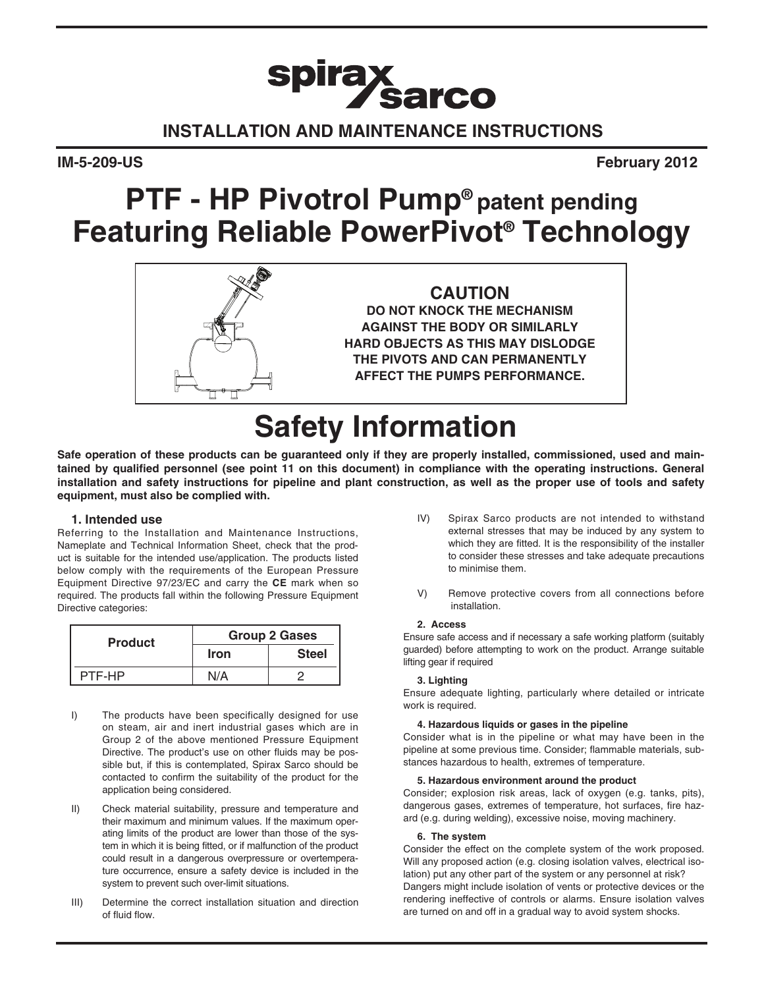# spirax<br>Sarco **Installation and Maintenance Instructions**

**IM-5-209-US February 2012**

## **PTF - HP Pivotrol Pump® patent pending Featuring Reliable PowerPivot® Technology**



**CAUTION DO NOT KNOCK THE MECHANISM AGAINST THE BODY OR SIMILARLY HARD OBJECTS AS THIS MAY DISLODGE THE PIVOTS AND CAN PERMANENTLY AFFECT THE PUMPS PERFORMANCE.**

## **Safety Information**

**Safe operation of these products can be guaranteed only if they are properly installed, commissioned, used and maintained by qualified personnel (see point 11 on this document) in compliance with the operating instructions. General installation and safety instructions for pipeline and plant construction, as well as the proper use of tools and safety equipment, must also be complied with.**

### **1. Intended use**

Referring to the Installation and Maintenance Instructions, Nameplate and Technical Information Sheet, check that the product is suitable for the intended use/application. The products listed below comply with the requirements of the European Pressure Equipment Directive 97/23/EC and carry the **CE** mark when so required. The products fall within the following Pressure Equipment Directive categories:

| <b>Product</b> | <b>Group 2 Gases</b> |              |  |  |
|----------------|----------------------|--------------|--|--|
|                | <b>Iron</b>          | <b>Steel</b> |  |  |
| PTF-HP         | N/A                  |              |  |  |

- I) The products have been specifically designed for use on steam, air and inert industrial gases which are in Group 2 of the above mentioned Pressure Equipment Directive. The product's use on other fluids may be possible but, if this is contemplated, Spirax Sarco should be contacted to confirm the suitability of the product for the application being considered.
- II) Check material suitability, pressure and temperature and their maximum and minimum values. If the maximum operating limits of the product are lower than those of the system in which it is being fitted, or if malfunction of the product could result in a dangerous overpressure or overtemperature occurrence, ensure a safety device is included in the system to prevent such over-limit situations.
- III) Determine the correct installation situation and direction of fluid flow.
- IV) Spirax Sarco products are not intended to withstand external stresses that may be induced by any system to which they are fitted. It is the responsibility of the installer to consider these stresses and take adequate precautions to minimise them.
- V) Remove protective covers from all connections before installation.

#### **2. Access**

Ensure safe access and if necessary a safe working platform (suitably guarded) before attempting to work on the product. Arrange suitable lifting gear if required

#### **3. Lighting**

Ensure adequate lighting, particularly where detailed or intricate work is required.

#### **4. Hazardous liquids or gases in the pipeline**

Consider what is in the pipeline or what may have been in the pipeline at some previous time. Consider; flammable materials, substances hazardous to health, extremes of temperature.

#### **5. Hazardous environment around the product**

Consider; explosion risk areas, lack of oxygen (e.g. tanks, pits), dangerous gases, extremes of temperature, hot surfaces, fire hazard (e.g. during welding), excessive noise, moving machinery.

#### **6. The system**

Consider the effect on the complete system of the work proposed. Will any proposed action (e.g. closing isolation valves, electrical isolation) put any other part of the system or any personnel at risk? Dangers might include isolation of vents or protective devices or the rendering ineffective of controls or alarms. Ensure isolation valves are turned on and off in a gradual way to avoid system shocks.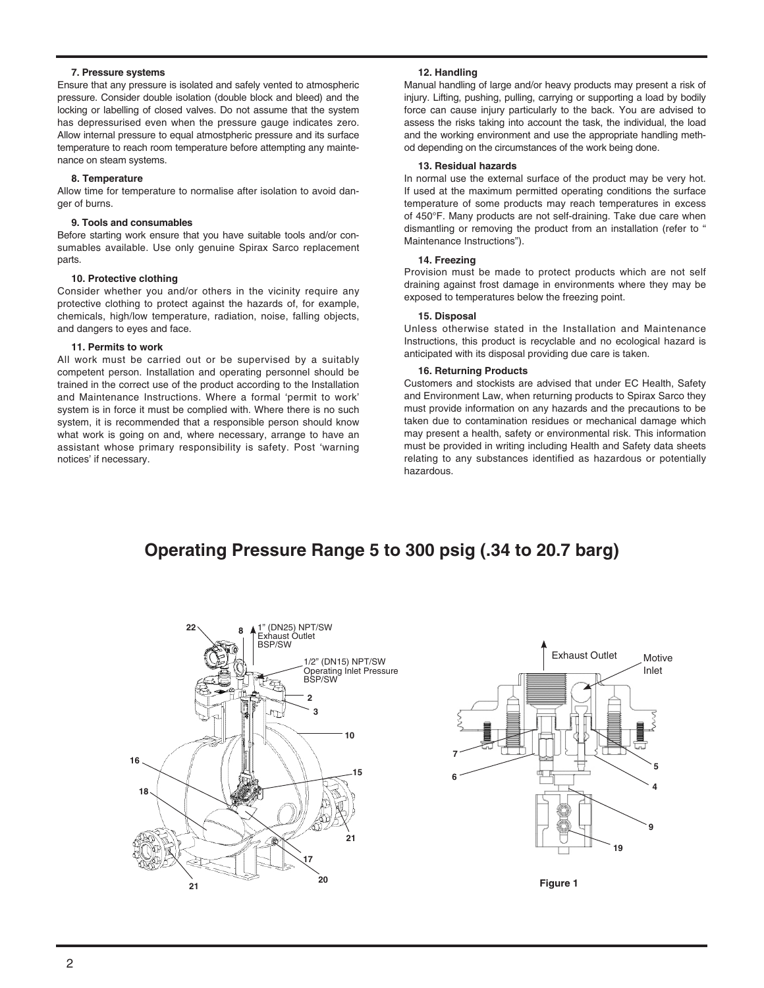#### **7. Pressure systems**

Ensure that any pressure is isolated and safely vented to atmospheric pressure. Consider double isolation (double block and bleed) and the locking or labelling of closed valves. Do not assume that the system has depressurised even when the pressure gauge indicates zero. Allow internal pressure to equal atmostpheric pressure and its surface temperature to reach room temperature before attempting any maintenance on steam systems.

#### **8. Temperature**

Allow time for temperature to normalise after isolation to avoid danger of burns.

#### **9. Tools and consumables**

Before starting work ensure that you have suitable tools and/or consumables available. Use only genuine Spirax Sarco replacement parts.

#### **10. Protective clothing**

Consider whether you and/or others in the vicinity require any protective clothing to protect against the hazards of, for example, chemicals, high/low temperature, radiation, noise, falling objects, and dangers to eyes and face.

#### **11. Permits to work**

All work must be carried out or be supervised by a suitably competent person. Installation and operating personnel should be trained in the correct use of the product according to the Installation and Maintenance Instructions. Where a formal 'permit to work' system is in force it must be complied with. Where there is no such system, it is recommended that a responsible person should know what work is going on and, where necessary, arrange to have an assistant whose primary responsibility is safety. Post 'warning notices' if necessary.

#### **12. Handling**

Manual handling of large and/or heavy products may present a risk of injury. Lifting, pushing, pulling, carrying or supporting a load by bodily force can cause injury particularly to the back. You are advised to assess the risks taking into account the task, the individual, the load and the working environment and use the appropriate handling method depending on the circumstances of the work being done.

#### **13. Residual hazards**

In normal use the external surface of the product may be very hot. If used at the maximum permitted operating conditions the surface temperature of some products may reach temperatures in excess of 450°F. Many products are not self-draining. Take due care when dismantling or removing the product from an installation (refer to " Maintenance Instructions").

#### **14. Freezing**

Provision must be made to protect products which are not self draining against frost damage in environments where they may be exposed to temperatures below the freezing point.

#### **15. Disposal**

Unless otherwise stated in the Installation and Maintenance Instructions, this product is recyclable and no ecological hazard is anticipated with its disposal providing due care is taken.

#### **16. Returning Products**

Customers and stockists are advised that under EC Health, Safety and Environment Law, when returning products to Spirax Sarco they must provide information on any hazards and the precautions to be taken due to contamination residues or mechanical damage which may present a health, safety or environmental risk. This information must be provided in writing including Health and Safety data sheets relating to any substances identified as hazardous or potentially hazardous.

## **Operating Pressure Range 5 to 300 psig (.34 to 20.7 barg)**





**Figure 1**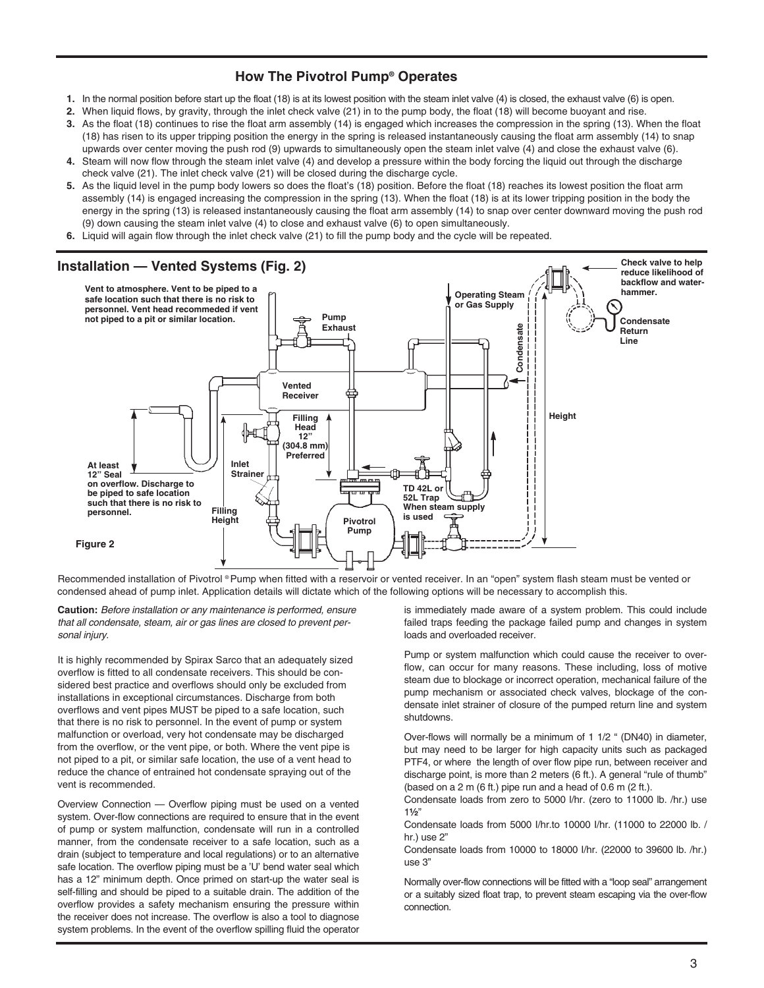## **How The Pivotrol Pump® Operates**

- **1.** In the normal position before start up the float (18) is at its lowest position with the steam inlet valve (4) is closed, the exhaust valve (6) is open.
- **2.** When liquid flows, by gravity, through the inlet check valve (21) in to the pump body, the float (18) will become buoyant and rise. **3.** As the float (18) continues to rise the float arm assembly (14) is engaged which increases the compression in the spring (13). When the float
- (18) has risen to its upper tripping position the energy in the spring is released instantaneously causing the float arm assembly (14) to snap upwards over center moving the push rod (9) upwards to simultaneously open the steam inlet valve (4) and close the exhaust valve (6). **4.** Steam will now flow through the steam inlet valve (4) and develop a pressure within the body forcing the liquid out through the discharge
- check valve (21). The inlet check valve (21) will be closed during the discharge cycle.
- **5.** As the liquid level in the pump body lowers so does the float's (18) position. Before the float (18) reaches its lowest position the float arm assembly (14) is engaged increasing the compression in the spring (13). When the float (18) is at its lower tripping position in the body the energy in the spring (13) is released instantaneously causing the float arm assembly (14) to snap over center downward moving the push rod (9) down causing the steam inlet valve (4) to close and exhaust valve (6) to open simultaneously.
- **6.** Liquid will again flow through the inlet check valve (21) to fill the pump body and the cycle will be repeated.



Recommended installation of Pivotrol ® Pump when fitted with a reservoir or vented receiver. In an "open" system flash steam must be vented or condensed ahead of pump inlet. Application details will dictate which of the following options will be necessary to accomplish this.

**Caution:** *Before installation or any maintenance is performed, ensure that all condensate, steam, air or gas lines are closed to prevent personal injury.*

It is highly recommended by Spirax Sarco that an adequately sized overflow is fitted to all condensate receivers. This should be considered best practice and overflows should only be excluded from installations in exceptional circumstances. Discharge from both overflows and vent pipes MUST be piped to a safe location, such that there is no risk to personnel. In the event of pump or system malfunction or overload, very hot condensate may be discharged from the overflow, or the vent pipe, or both. Where the vent pipe is not piped to a pit, or similar safe location, the use of a vent head to reduce the chance of entrained hot condensate spraying out of the vent is recommended.

Overview Connection — Overflow piping must be used on a vented system. Over-flow connections are required to ensure that in the event of pump or system malfunction, condensate will run in a controlled manner, from the condensate receiver to a safe location, such as a drain (subject to temperature and local regulations) or to an alternative safe location. The overflow piping must be a 'U' bend water seal which has a 12" minimum depth. Once primed on start-up the water seal is self-filling and should be piped to a suitable drain. The addition of the overflow provides a safety mechanism ensuring the pressure within the receiver does not increase. The overflow is also a tool to diagnose system problems. In the event of the overflow spilling fluid the operator is immediately made aware of a system problem. This could include failed traps feeding the package failed pump and changes in system loads and overloaded receiver.

Pump or system malfunction which could cause the receiver to overflow, can occur for many reasons. These including, loss of motive steam due to blockage or incorrect operation, mechanical failure of the pump mechanism or associated check valves, blockage of the condensate inlet strainer of closure of the pumped return line and system shutdowns.

Over-flows will normally be a minimum of 1 1/2 " (DN40) in diameter, but may need to be larger for high capacity units such as packaged PTF4, or where the length of over flow pipe run, between receiver and discharge point, is more than 2 meters (6 ft.). A general "rule of thumb" (based on a  $2 \text{ m}$  (6 ft.) pipe run and a head of 0.6 m ( $2$  ft.).

Condensate loads from zero to 5000 l/hr. (zero to 11000 lb. /hr.) use 1½"

Condensate loads from 5000 I/hr.to 10000 I/hr. (11000 to 22000 lb. / hr.) use 2"

Condensate loads from 10000 to 18000 I/hr. (22000 to 39600 lb. /hr.) use 3"

Normally over-flow connections will be fitted with a "loop seal" arrangement or a suitably sized float trap, to prevent steam escaping via the over-flow connection.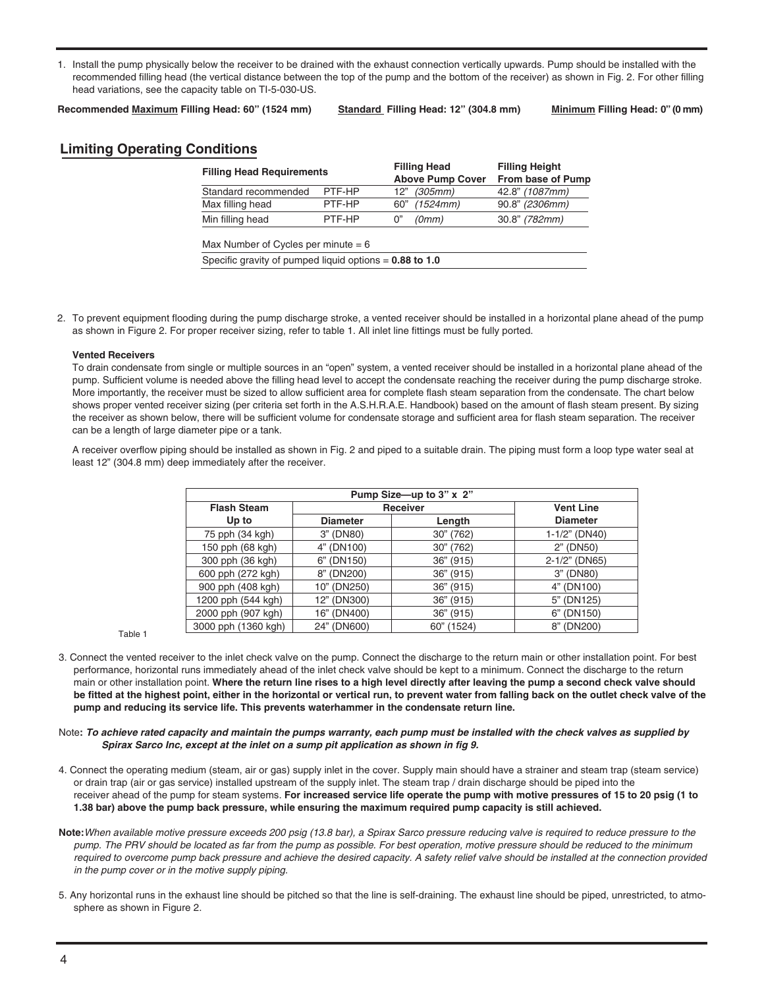1. Install the pump physically below the receiver to be drained with the exhaust connection vertically upwards. Pump should be installed with the recommended filling head (the vertical distance between the top of the pump and the bottom of the receiver) as shown in Fig. 2. For other filling head variations, see the capacity table on TI-5-030-US.

**Recommended Maximum Filling Head: 60" (1524 mm) Standard Filling Head: 12" (304.8 mm) Minimum Filling Head: 0" (0 mm)**

## **Limiting Operating Conditions**

| <b>Filling Head Requirements</b>      |        |     | <b>Filling Head</b><br><b>Above Pump Cover</b> | <b>Filling Height</b><br>From base of Pump |  |
|---------------------------------------|--------|-----|------------------------------------------------|--------------------------------------------|--|
| Standard recommended                  | PTF-HP | 12" | (305mm)                                        | 42.8" (1087mm)                             |  |
| Max filling head                      | PTF-HP | 60" | (1524mm)                                       | 90.8" (2306mm)                             |  |
| Min filling head                      | PTF-HP | 0"  | (0mm)                                          | 30.8" (782mm)                              |  |
| Max Number of Cycles per minute $= 6$ |        |     |                                                |                                            |  |
|                                       |        |     |                                                |                                            |  |

Specific gravity of pumped liquid options = **0.88 to 1.0**

2. To prevent equipment flooding during the pump discharge stroke, a vented receiver should be installed in a horizontal plane ahead of the pump as shown in Figure 2. For proper receiver sizing, refer to table 1. All inlet line fittings must be fully ported.

#### **Vented Receivers**

To drain condensate from single or multiple sources in an "open" system, a vented receiver should be installed in a horizontal plane ahead of the pump. Sufficient volume is needed above the filling head level to accept the condensate reaching the receiver during the pump discharge stroke. More importantly, the receiver must be sized to allow sufficient area for complete flash steam separation from the condensate. The chart below shows proper vented receiver sizing (per criteria set forth in the A.S.H.R.A.E. Handbook) based on the amount of flash steam present. By sizing the receiver as shown below, there will be sufficient volume for condensate storage and sufficient area for flash steam separation. The receiver can be a length of large diameter pipe or a tank.

A receiver overflow piping should be installed as shown in Fig. 2 and piped to a suitable drain. The piping must form a loop type water seal at least 12" (304.8 mm) deep immediately after the receiver.

|         | Pump Size-up to 3" x 2" |                 |            |                 |  |  |
|---------|-------------------------|-----------------|------------|-----------------|--|--|
|         | <b>Flash Steam</b>      |                 | Receiver   |                 |  |  |
|         | Up to                   | <b>Diameter</b> | Length     | <b>Diameter</b> |  |  |
|         | 75 pph (34 kgh)         | 3" (DN80)       | 30" (762)  | 1-1/2" (DN40)   |  |  |
|         | 150 pph (68 kgh)        | 4" (DN100)      | 30" (762)  | 2" (DN50)       |  |  |
|         | 300 pph (36 kgh)        | (DN150)<br>6"   | 36" (915)  | 2-1/2" (DN65)   |  |  |
|         | 600 pph (272 kgh)       | (DN200)<br>8"   | 36" (915)  | 3" (DN80)       |  |  |
|         | 900 pph (408 kgh)       | 10" (DN250)     | 36" (915)  | 4" (DN100)      |  |  |
|         | 1200 pph (544 kgh)      | 12" (DN300)     | 36" (915)  | 5" (DN125)      |  |  |
|         | 2000 pph (907 kgh)      | 16" (DN400)     | 36" (915)  | 6" (DN150)      |  |  |
|         | 3000 pph (1360 kgh)     | 24" (DN600)     | 60" (1524) | 8" (DN200)      |  |  |
| Table 1 |                         |                 |            |                 |  |  |

- 3. Connect the vented receiver to the inlet check valve on the pump. Connect the discharge to the return main or other installation point. For best performance, horizontal runs immediately ahead of the inlet check valve should be kept to a minimum. Connect the discharge to the return main or other installation point. **Where the return line rises to a high level directly after leaving the pump a second check valve should be fitted at the highest point, either in the horizontal or vertical run, to prevent water from falling back on the outlet check valve of the pump and reducing its service life. This prevents waterhammer in the condensate return line.**
- Note**:** *To achieve rated capacity and maintain the pumps warranty, each pump must be installed with the check valves as supplied by Spirax Sarco Inc, except at the inlet on a sump pit application as shown in fig 9.*
- 4. Connect the operating medium (steam, air or gas) supply inlet in the cover. Supply main should have a strainer and steam trap (steam service) or drain trap (air or gas service) installed upstream of the supply inlet. The steam trap / drain discharge should be piped into the receiver ahead of the pump for steam systems. **For increased service life operate the pump with motive pressures of 15 to 20 psig (1 to 1.38 bar) above the pump back pressure, while ensuring the maximum required pump capacity is still achieved.**
- **Note:***When available motive pressure exceeds 200 psig (13.8 bar), a Spirax Sarco pressure reducing valve is required to reduce pressure to the pump. The PRV should be located as far from the pump as possible. For best operation, motive pressure should be reduced to the minimum required to overcome pump back pressure and achieve the desired capacity. A safety relief valve should be installed at the connection provided in the pump cover or in the motive supply piping.*
- 5. Any horizontal runs in the exhaust line should be pitched so that the line is self-draining. The exhaust line should be piped, unrestricted, to atmosphere as shown in Figure 2.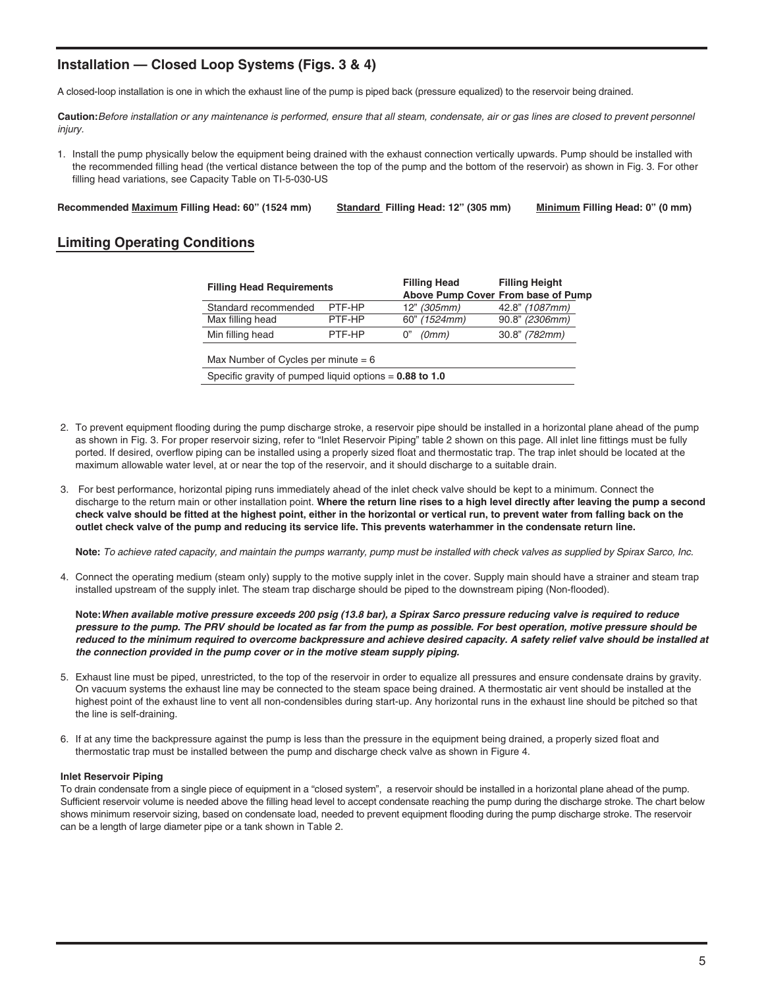## **Installation — Closed Loop Systems (Figs. 3 & 4)**

A closed-loop installation is one in which the exhaust line of the pump is piped back (pressure equalized) to the reservoir being drained.

**Caution:***Before installation or any maintenance is performed, ensure that all steam, condensate, air or gas lines are closed to prevent personnel injury.*

1. Install the pump physically below the equipment being drained with the exhaust connection vertically upwards. Pump should be installed with the recommended filling head (the vertical distance between the top of the pump and the bottom of the reservoir) as shown in Fig. 3. For other filling head variations, see Capacity Table on TI-5-030-US

**Recommended Maximum Filling Head: 60" (1524 mm) Standard Filling Head: 12" (305 mm) Minimum Filling Head: 0" (0 mm)**

## **Limiting Operating Conditions**

| <b>Filling Head Requirements</b>                          |        | <b>Filling Head</b> | <b>Filling Height</b>              |  |  |
|-----------------------------------------------------------|--------|---------------------|------------------------------------|--|--|
|                                                           |        |                     | Above Pump Cover From base of Pump |  |  |
| Standard recommended                                      | PTF-HP | 12" (305mm)         | 42.8" (1087mm)                     |  |  |
| Max filling head                                          | PTF-HP | 60" (1524mm)        | 90.8" (2306mm)                     |  |  |
| Min filling head                                          | PTF-HP | (0mm)<br>0"         | 30.8" (782mm)                      |  |  |
| Max Number of Cycles per minute $= 6$                     |        |                     |                                    |  |  |
| Specific gravity of pumped liquid options $= 0.88$ to 1.0 |        |                     |                                    |  |  |
|                                                           |        |                     |                                    |  |  |

- 2. To prevent equipment flooding during the pump discharge stroke, a reservoir pipe should be installed in a horizontal plane ahead of the pump as shown in Fig. 3. For proper reservoir sizing, refer to "Inlet Reservoir Piping" table 2 shown on this page. All inlet line fittings must be fully ported. If desired, overflow piping can be installed using a properly sized float and thermostatic trap. The trap inlet should be located at the maximum allowable water level, at or near the top of the reservoir, and it should discharge to a suitable drain.
- 3. For best performance, horizontal piping runs immediately ahead of the inlet check valve should be kept to a minimum. Connect the discharge to the return main or other installation point. **Where the return line rises to a high level directly after leaving the pump a second check valve should be fitted at the highest point, either in the horizontal or vertical run, to prevent water from falling back on the outlet check valve of the pump and reducing its service life. This prevents waterhammer in the condensate return line.**

 **Note:** *To achieve rated capacity, and maintain the pumps warranty, pump must be installed with check valves as supplied by Spirax Sarco, Inc.*

4. Connect the operating medium (steam only) supply to the motive supply inlet in the cover. Supply main should have a strainer and steam trap installed upstream of the supply inlet. The steam trap discharge should be piped to the downstream piping (Non-flooded).

**Note:***When available motive pressure exceeds 200 psig (13.8 bar), a Spirax Sarco pressure reducing valve is required to reduce pressure to the pump. The PRV should be located as far from the pump as possible. For best operation, motive pressure should be reduced to the minimum required to overcome backpressure and achieve desired capacity. A safety relief valve should be installed at the connection provided in the pump cover or in the motive steam supply piping.*

- 5. Exhaust line must be piped, unrestricted, to the top of the reservoir in order to equalize all pressures and ensure condensate drains by gravity. On vacuum systems the exhaust line may be connected to the steam space being drained. A thermostatic air vent should be installed at the highest point of the exhaust line to vent all non-condensibles during start-up. Any horizontal runs in the exhaust line should be pitched so that the line is self-draining.
- 6. If at any time the backpressure against the pump is less than the pressure in the equipment being drained, a properly sized float and thermostatic trap must be installed between the pump and discharge check valve as shown in Figure 4.

#### **Inlet Reservoir Piping**

To drain condensate from a single piece of equipment in a "closed system", a reservoir should be installed in a horizontal plane ahead of the pump. Sufficient reservoir volume is needed above the filling head level to accept condensate reaching the pump during the discharge stroke. The chart below shows minimum reservoir sizing, based on condensate load, needed to prevent equipment flooding during the pump discharge stroke. The reservoir can be a length of large diameter pipe or a tank shown in Table 2.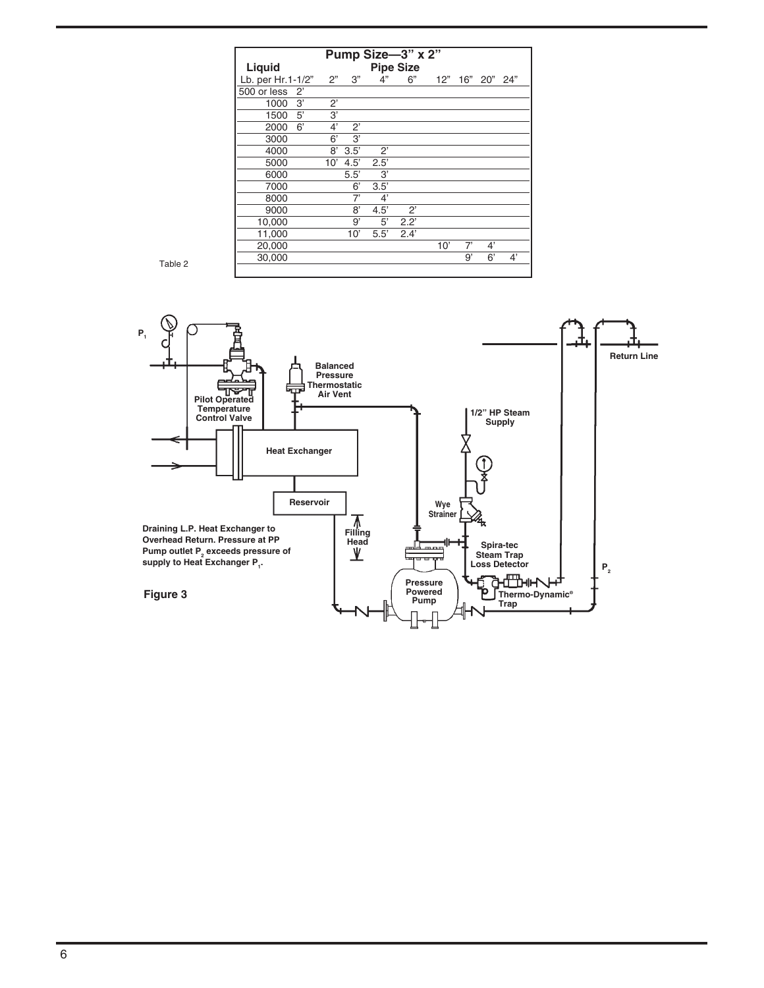| Pump Size-3" x 2"          |             |             |              |             |              |    |                 |    |
|----------------------------|-------------|-------------|--------------|-------------|--------------|----|-----------------|----|
| <b>Pipe Size</b><br>Liquid |             |             |              |             |              |    |                 |    |
| Lb. per Hr.1-1/2"          | 2"          | 3"          | 4"           | 6"          |              |    | 12" 16" 20" 24" |    |
| 500 or less 2'             |             |             |              |             |              |    |                 |    |
| 3'<br>1000                 | $2^{\circ}$ |             |              |             |              |    |                 |    |
| 1500 5'                    | 3,          |             |              |             |              |    |                 |    |
| 6'<br>2000                 | 4'          | $2^{\circ}$ |              |             |              |    |                 |    |
| 3000                       | 6'          | 3'          |              |             |              |    |                 |    |
| 4000                       | 8'          | 3.5'        | $2^{\prime}$ |             |              |    |                 |    |
| 5000                       |             | $10'$ 4.5'  | 2.5'         |             |              |    |                 |    |
| 6000                       |             | 5.5'        | 3'           |             |              |    |                 |    |
| 7000                       |             | 6'          | 3.5'         |             |              |    |                 |    |
| 8000                       |             | 7'          | 4'           |             |              |    |                 |    |
| 9000                       |             | 8'          | 4.5'         | $2^{\circ}$ |              |    |                 |    |
| 10,000                     |             | 9'          | 5'           | 2.2'        |              |    |                 |    |
| 11,000                     |             | 10'         | 5.5'         | 2.4'        |              |    |                 |    |
| 20,000                     |             |             |              |             | $10^{\circ}$ | 7' | 4'              |    |
| 30,000                     |             |             |              |             |              | g, | 6'              | 4' |

Table 2

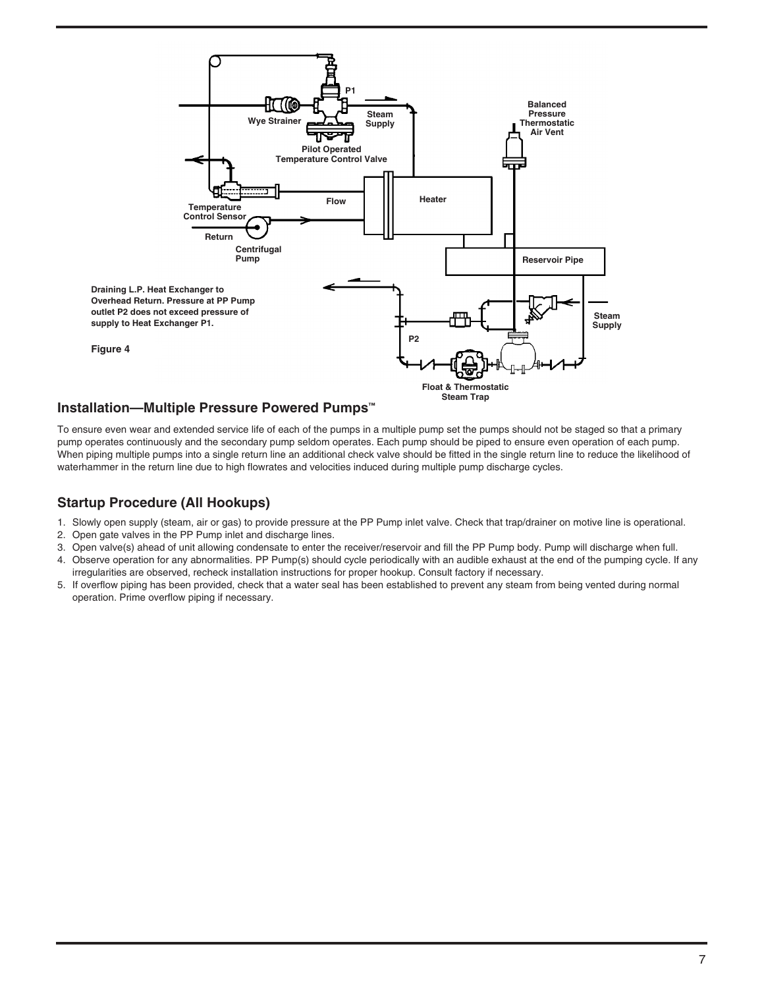

## **Installation—Multiple Pressure Powered Pumps™**

To ensure even wear and extended service life of each of the pumps in a multiple pump set the pumps should not be staged so that a primary pump operates continuously and the secondary pump seldom operates. Each pump should be piped to ensure even operation of each pump. When piping multiple pumps into a single return line an additional check valve should be fitted in the single return line to reduce the likelihood of waterhammer in the return line due to high flowrates and velocities induced during multiple pump discharge cycles.

## **Startup Procedure (All Hookups)**

- 1. Slowly open supply (steam, air or gas) to provide pressure at the PP Pump inlet valve. Check that trap/drainer on motive line is operational.
- 2. Open gate valves in the PP Pump inlet and discharge lines.
- 3. Open valve(s) ahead of unit allowing condensate to enter the receiver/reservoir and fill the PP Pump body. Pump will discharge when full.
- 4. Observe operation for any abnormalities. PP Pump(s) should cycle periodically with an audible exhaust at the end of the pumping cycle. If any irregularities are observed, recheck installation instructions for proper hookup. Consult factory if necessary.
- 5. If overflow piping has been provided, check that a water seal has been established to prevent any steam from being vented during normal operation. Prime overflow piping if necessary.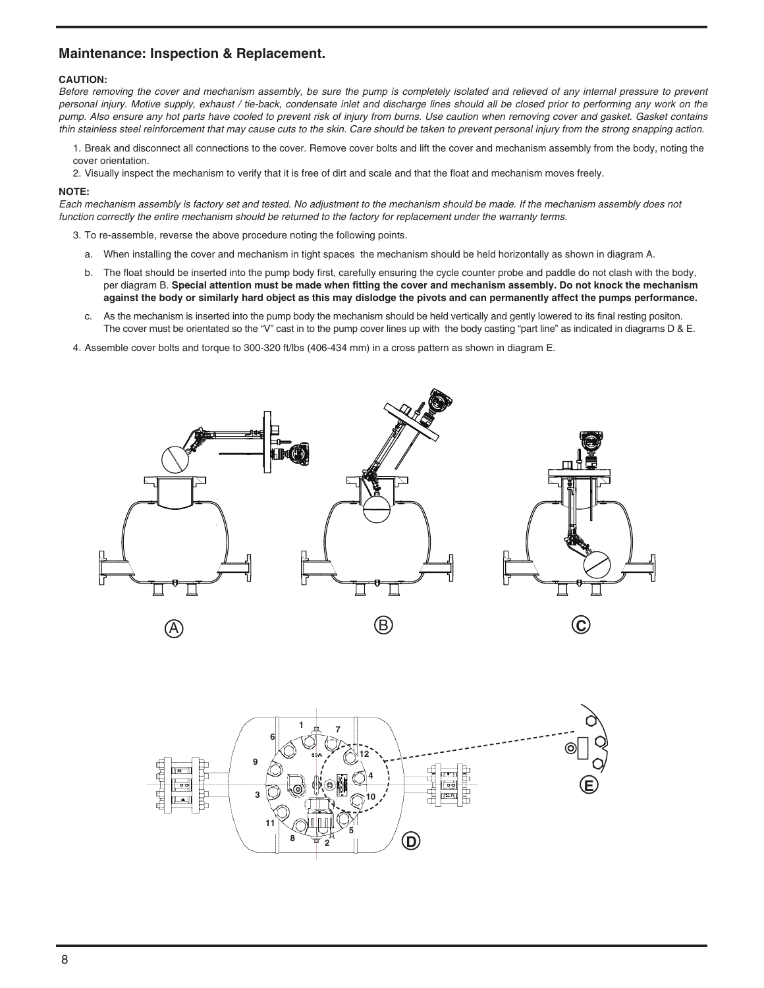## **Maintenance: Inspection & Replacement.**

#### **CAUTION:**

*Before removing the cover and mechanism assembly, be sure the pump is completely isolated and relieved of any internal pressure to prevent personal injury. Motive supply, exhaust / tie-back, condensate inlet and discharge lines should all be closed prior to performing any work on the pump. Also ensure any hot parts have cooled to prevent risk of injury from burns. Use caution when removing cover and gasket. Gasket contains thin stainless steel reinforcement that may cause cuts to the skin. Care should be taken to prevent personal injury from the strong snapping action.*

1. Break and disconnect all connections to the cover. Remove cover bolts and lift the cover and mechanism assembly from the body, noting the cover orientation.

2. Visually inspect the mechanism to verify that it is free of dirt and scale and that the float and mechanism moves freely.

#### **NOTE:**

*Each mechanism assembly is factory set and tested. No adjustment to the mechanism should be made. If the mechanism assembly does not function correctly the entire mechanism should be returned to the factory for replacement under the warranty terms.*

- 3. To re-assemble, reverse the above procedure noting the following points.
	- a. When installing the cover and mechanism in tight spaces the mechanism should be held horizontally as shown in diagram A.
	- b. The float should be inserted into the pump body first, carefully ensuring the cycle counter probe and paddle do not clash with the body, per diagram B. **Special attention must be made when fitting the cover and mechanism assembly. Do not knock the mechanism against the body or similarly hard object as this may dislodge the pivots and can permanently affect the pumps performance.**
	- c. As the mechanism is inserted into the pump body the mechanism should be held vertically and gently lowered to its final resting positon. The cover must be orientated so the "V" cast in to the pump cover lines up with the body casting "part line" as indicated in diagrams D & E.
- 4. Assemble cover bolts and torque to 300-320 ft/lbs (406-434 mm) in a cross pattern as shown in diagram E.



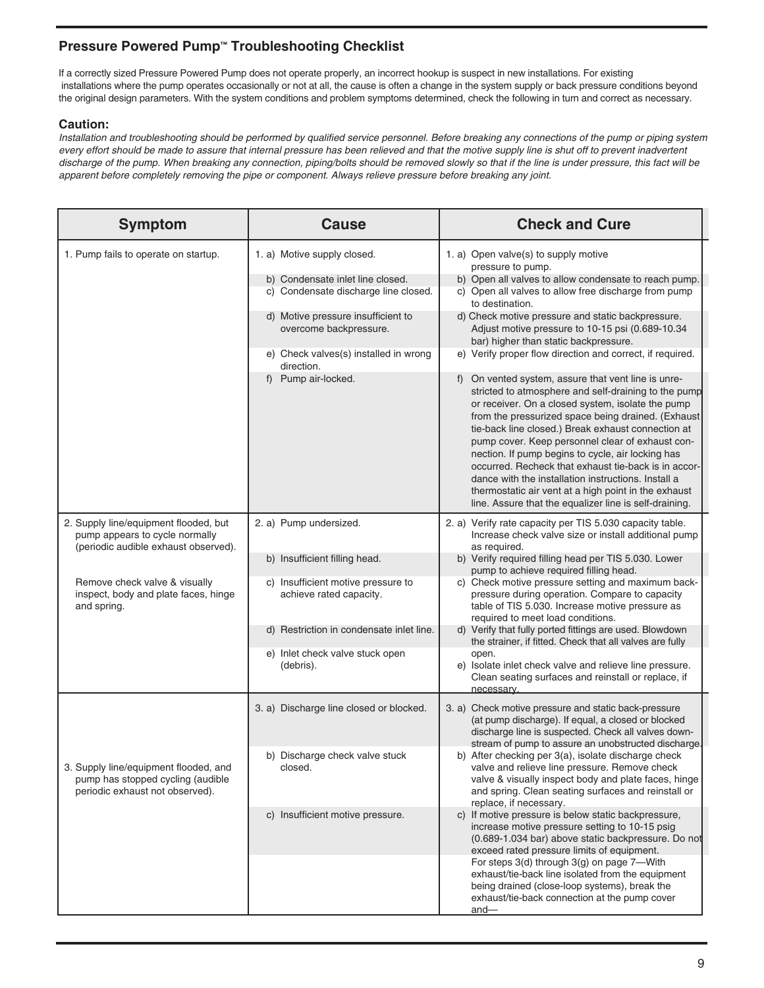## **Pressure Powered Pump™ Troubleshooting Checklist**

If a correctly sized Pressure Powered Pump does not operate properly, an incorrect hookup is suspect in new installations. For existing installations where the pump operates occasionally or not at all, the cause is often a change in the system supply or back pressure conditions beyond the original design parameters. With the system conditions and problem symptoms determined, check the following in turn and correct as necessary.

## **Caution:**

*Installation and troubleshooting should be performed by qualified service personnel. Before breaking any connections of the pump or piping system every effort should be made to assure that internal pressure has been relieved and that the motive supply line is shut off to prevent inadvertent discharge of the pump. When breaking any connection, piping/bolts should be removed slowly so that if the line is under pressure, this fact will be apparent before completely removing the pipe or component. Always relieve pressure before breaking any joint.*

| <b>Symptom</b>                                                                                                  | <b>Cause</b>                                                  | <b>Check and Cure</b>                                                                                                                                                                                                                                                                                                                                                                                                                                                                                                                                                                                                  |
|-----------------------------------------------------------------------------------------------------------------|---------------------------------------------------------------|------------------------------------------------------------------------------------------------------------------------------------------------------------------------------------------------------------------------------------------------------------------------------------------------------------------------------------------------------------------------------------------------------------------------------------------------------------------------------------------------------------------------------------------------------------------------------------------------------------------------|
| 1. Pump fails to operate on startup.                                                                            | 1. a) Motive supply closed.                                   | 1. a) Open valve(s) to supply motive<br>pressure to pump.                                                                                                                                                                                                                                                                                                                                                                                                                                                                                                                                                              |
|                                                                                                                 | b) Condensate inlet line closed.                              | b) Open all valves to allow condensate to reach pump.                                                                                                                                                                                                                                                                                                                                                                                                                                                                                                                                                                  |
|                                                                                                                 | c) Condensate discharge line closed.                          | c) Open all valves to allow free discharge from pump<br>to destination.                                                                                                                                                                                                                                                                                                                                                                                                                                                                                                                                                |
|                                                                                                                 | d) Motive pressure insufficient to<br>overcome backpressure.  | d) Check motive pressure and static backpressure.<br>Adjust motive pressure to 10-15 psi (0.689-10.34<br>bar) higher than static backpressure.                                                                                                                                                                                                                                                                                                                                                                                                                                                                         |
|                                                                                                                 | e) Check valves(s) installed in wrong<br>direction.           | e) Verify proper flow direction and correct, if required.                                                                                                                                                                                                                                                                                                                                                                                                                                                                                                                                                              |
|                                                                                                                 | f) Pump air-locked.                                           | f) On vented system, assure that vent line is unre-<br>stricted to atmosphere and self-draining to the pump<br>or receiver. On a closed system, isolate the pump<br>from the pressurized space being drained. (Exhaust<br>tie-back line closed.) Break exhaust connection at<br>pump cover. Keep personnel clear of exhaust con-<br>nection. If pump begins to cycle, air locking has<br>occurred. Recheck that exhaust tie-back is in accor-<br>dance with the installation instructions. Install a<br>thermostatic air vent at a high point in the exhaust<br>line. Assure that the equalizer line is self-draining. |
| 2. Supply line/equipment flooded, but<br>pump appears to cycle normally<br>(periodic audible exhaust observed). | 2. a) Pump undersized.                                        | 2. a) Verify rate capacity per TIS 5.030 capacity table.<br>Increase check valve size or install additional pump<br>as required.                                                                                                                                                                                                                                                                                                                                                                                                                                                                                       |
|                                                                                                                 | b) Insufficient filling head.                                 | b) Verify required filling head per TIS 5.030. Lower<br>pump to achieve required filling head.                                                                                                                                                                                                                                                                                                                                                                                                                                                                                                                         |
| Remove check valve & visually<br>inspect, body and plate faces, hinge<br>and spring.                            | c) Insufficient motive pressure to<br>achieve rated capacity. | c) Check motive pressure setting and maximum back-<br>pressure during operation. Compare to capacity<br>table of TIS 5.030. Increase motive pressure as<br>required to meet load conditions.                                                                                                                                                                                                                                                                                                                                                                                                                           |
|                                                                                                                 | d) Restriction in condensate inlet line.                      | d) Verify that fully ported fittings are used. Blowdown<br>the strainer, if fitted. Check that all valves are fully                                                                                                                                                                                                                                                                                                                                                                                                                                                                                                    |
|                                                                                                                 | e) Inlet check valve stuck open<br>(debris).                  | open.<br>e) Isolate inlet check valve and relieve line pressure.<br>Clean seating surfaces and reinstall or replace, if<br>necessary.                                                                                                                                                                                                                                                                                                                                                                                                                                                                                  |
|                                                                                                                 | 3. a) Discharge line closed or blocked.                       | 3. a) Check motive pressure and static back-pressure<br>(at pump discharge). If equal, a closed or blocked<br>discharge line is suspected. Check all valves down-<br>stream of pump to assure an unobstructed discharge.                                                                                                                                                                                                                                                                                                                                                                                               |
| 3. Supply line/equipment flooded, and<br>pump has stopped cycling (audible<br>periodic exhaust not observed).   | b) Discharge check valve stuck<br>closed.                     | b) After checking per 3(a), isolate discharge check<br>valve and relieve line pressure. Remove check<br>valve & visually inspect body and plate faces, hinge<br>and spring. Clean seating surfaces and reinstall or<br>replace, if necessary.                                                                                                                                                                                                                                                                                                                                                                          |
|                                                                                                                 | c) Insufficient motive pressure.                              | c) If motive pressure is below static backpressure,<br>increase motive pressure setting to 10-15 psig<br>(0.689-1.034 bar) above static backpressure. Do not<br>exceed rated pressure limits of equipment.<br>For steps 3(d) through 3(g) on page 7-With<br>exhaust/tie-back line isolated from the equipment<br>being drained (close-loop systems), break the<br>exhaust/tie-back connection at the pump cover                                                                                                                                                                                                        |
|                                                                                                                 |                                                               | and-                                                                                                                                                                                                                                                                                                                                                                                                                                                                                                                                                                                                                   |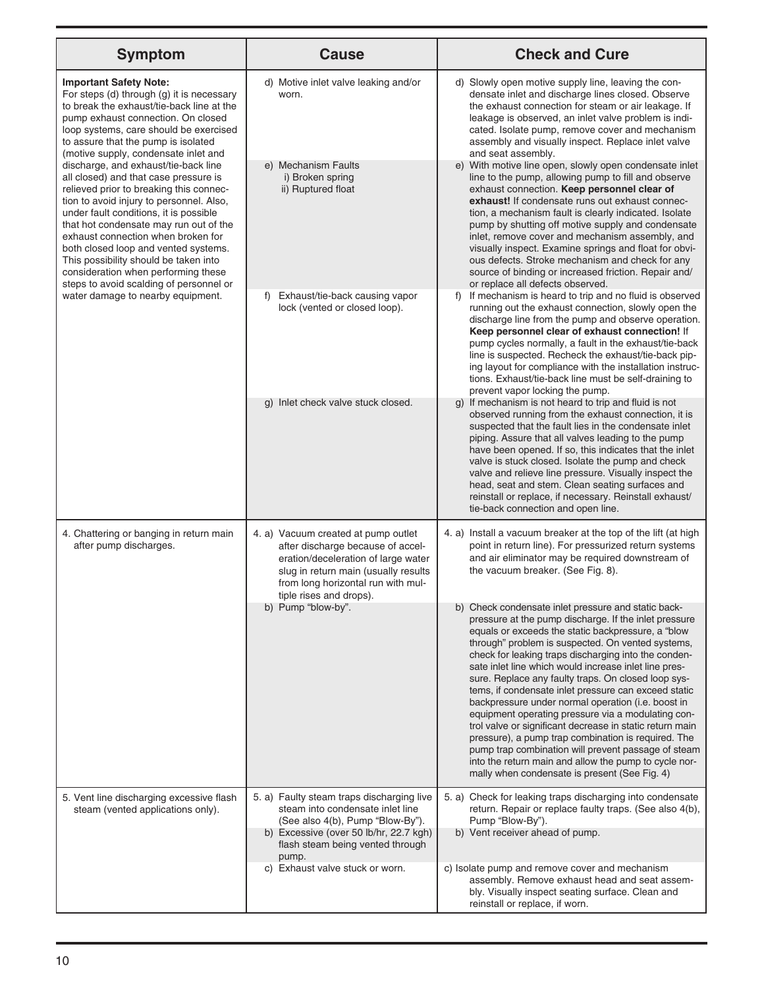| <b>Symptom</b>                                                                                                                                                                                                                                                                                                                                                                                                                                                                                                                                                                                                                                                                                                   | <b>Cause</b>                                                                                                                                                                                                             | <b>Check and Cure</b>                                                                                                                                                                                                                                                                                                                                                                                                                                                                                                                                                                                                                                                                                                                                                                                                                                                                                          |
|------------------------------------------------------------------------------------------------------------------------------------------------------------------------------------------------------------------------------------------------------------------------------------------------------------------------------------------------------------------------------------------------------------------------------------------------------------------------------------------------------------------------------------------------------------------------------------------------------------------------------------------------------------------------------------------------------------------|--------------------------------------------------------------------------------------------------------------------------------------------------------------------------------------------------------------------------|----------------------------------------------------------------------------------------------------------------------------------------------------------------------------------------------------------------------------------------------------------------------------------------------------------------------------------------------------------------------------------------------------------------------------------------------------------------------------------------------------------------------------------------------------------------------------------------------------------------------------------------------------------------------------------------------------------------------------------------------------------------------------------------------------------------------------------------------------------------------------------------------------------------|
| <b>Important Safety Note:</b><br>For steps (d) through (g) it is necessary<br>to break the exhaust/tie-back line at the<br>pump exhaust connection. On closed<br>loop systems, care should be exercised<br>to assure that the pump is isolated<br>(motive supply, condensate inlet and<br>discharge, and exhaust/tie-back line<br>all closed) and that case pressure is<br>relieved prior to breaking this connec-<br>tion to avoid injury to personnel. Also,<br>under fault conditions, it is possible<br>that hot condensate may run out of the<br>exhaust connection when broken for<br>both closed loop and vented systems.<br>This possibility should be taken into<br>consideration when performing these | d) Motive inlet valve leaking and/or<br>worn.<br>e) Mechanism Faults<br>i) Broken spring<br>ii) Ruptured float                                                                                                           | d) Slowly open motive supply line, leaving the con-<br>densate inlet and discharge lines closed. Observe<br>the exhaust connection for steam or air leakage. If<br>leakage is observed, an inlet valve problem is indi-<br>cated. Isolate pump, remove cover and mechanism<br>assembly and visually inspect. Replace inlet valve<br>and seat assembly.<br>e) With motive line open, slowly open condensate inlet<br>line to the pump, allowing pump to fill and observe<br>exhaust connection. Keep personnel clear of<br>exhaust! If condensate runs out exhaust connec-<br>tion, a mechanism fault is clearly indicated. Isolate<br>pump by shutting off motive supply and condensate<br>inlet, remove cover and mechanism assembly, and<br>visually inspect. Examine springs and float for obvi-<br>ous defects. Stroke mechanism and check for any<br>source of binding or increased friction. Repair and/ |
| steps to avoid scalding of personnel or<br>water damage to nearby equipment.                                                                                                                                                                                                                                                                                                                                                                                                                                                                                                                                                                                                                                     | Exhaust/tie-back causing vapor<br>f)<br>lock (vented or closed loop).                                                                                                                                                    | or replace all defects observed.<br>If mechanism is heard to trip and no fluid is observed<br>f)<br>running out the exhaust connection, slowly open the<br>discharge line from the pump and observe operation.<br>Keep personnel clear of exhaust connection! If<br>pump cycles normally, a fault in the exhaust/tie-back<br>line is suspected. Recheck the exhaust/tie-back pip-<br>ing layout for compliance with the installation instruc-<br>tions. Exhaust/tie-back line must be self-draining to<br>prevent vapor locking the pump.                                                                                                                                                                                                                                                                                                                                                                      |
|                                                                                                                                                                                                                                                                                                                                                                                                                                                                                                                                                                                                                                                                                                                  | g) Inlet check valve stuck closed.                                                                                                                                                                                       | If mechanism is not heard to trip and fluid is not<br>$\mathsf{q}$<br>observed running from the exhaust connection, it is<br>suspected that the fault lies in the condensate inlet<br>piping. Assure that all valves leading to the pump<br>have been opened. If so, this indicates that the inlet<br>valve is stuck closed. Isolate the pump and check<br>valve and relieve line pressure. Visually inspect the<br>head, seat and stem. Clean seating surfaces and<br>reinstall or replace, if necessary. Reinstall exhaust/<br>tie-back connection and open line.                                                                                                                                                                                                                                                                                                                                            |
| 4. Chattering or banging in return main<br>after pump discharges.                                                                                                                                                                                                                                                                                                                                                                                                                                                                                                                                                                                                                                                | 4. a) Vacuum created at pump outlet<br>after discharge because of accel-<br>eration/deceleration of large water<br>slug in return main (usually results<br>from long horizontal run with mul-<br>tiple rises and drops). | 4. a) Install a vacuum breaker at the top of the lift (at high<br>point in return line). For pressurized return systems<br>and air eliminator may be required downstream of<br>the vacuum breaker. (See Fig. 8).                                                                                                                                                                                                                                                                                                                                                                                                                                                                                                                                                                                                                                                                                               |
|                                                                                                                                                                                                                                                                                                                                                                                                                                                                                                                                                                                                                                                                                                                  | b) Pump "blow-by".                                                                                                                                                                                                       | b) Check condensate inlet pressure and static back-<br>pressure at the pump discharge. If the inlet pressure<br>equals or exceeds the static backpressure, a "blow<br>through" problem is suspected. On vented systems,<br>check for leaking traps discharging into the conden-<br>sate inlet line which would increase inlet line pres-<br>sure. Replace any faulty traps. On closed loop sys-<br>tems, if condensate inlet pressure can exceed static<br>backpressure under normal operation (i.e. boost in<br>equipment operating pressure via a modulating con-<br>trol valve or significant decrease in static return main<br>pressure), a pump trap combination is required. The<br>pump trap combination will prevent passage of steam<br>into the return main and allow the pump to cycle nor-<br>mally when condensate is present (See Fig. 4)                                                        |
| 5. Vent line discharging excessive flash<br>steam (vented applications only).                                                                                                                                                                                                                                                                                                                                                                                                                                                                                                                                                                                                                                    | 5. a) Faulty steam traps discharging live<br>steam into condensate inlet line<br>(See also 4(b), Pump "Blow-By").<br>b) Excessive (over 50 lb/hr, 22.7 kgh)<br>flash steam being vented through                          | 5. a) Check for leaking traps discharging into condensate<br>return. Repair or replace faulty traps. (See also 4(b),<br>Pump "Blow-By").<br>b) Vent receiver ahead of pump.                                                                                                                                                                                                                                                                                                                                                                                                                                                                                                                                                                                                                                                                                                                                    |
|                                                                                                                                                                                                                                                                                                                                                                                                                                                                                                                                                                                                                                                                                                                  | pump.<br>c) Exhaust valve stuck or worn.                                                                                                                                                                                 | c) Isolate pump and remove cover and mechanism<br>assembly. Remove exhaust head and seat assem-<br>bly. Visually inspect seating surface. Clean and<br>reinstall or replace, if worn.                                                                                                                                                                                                                                                                                                                                                                                                                                                                                                                                                                                                                                                                                                                          |